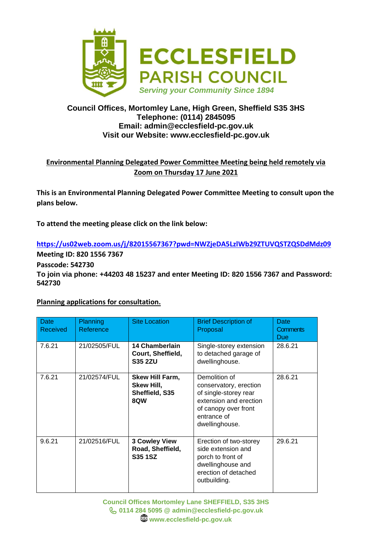

## **Council Offices, Mortomley Lane, High Green, Sheffield S35 3HS Telephone: (0114) 2845095 Email: admin@ecclesfield-pc.gov.uk Visit our Website: www.ecclesfield-pc.gov.uk**

## **Environmental Planning Delegated Power Committee Meeting being held remotely via Zoom on Thursday 17 June 2021**

**This is an Environmental Planning Delegated Power Committee Meeting to consult upon the plans below.** 

**To attend the meeting please click on the link below:**

**<https://us02web.zoom.us/j/82015567367?pwd=NWZjeDA5LzlWb29ZTUVQSTZQSDdMdz09> Meeting ID: 820 1556 7367**

**Passcode: 542730**

**To join via phone: +44203 48 15237 and enter Meeting ID: 820 1556 7367 and Password: 542730**

## **Planning applications for consultation.**

| Date<br>Received | <b>Planning</b><br>Reference | <b>Site Location</b>                                          | <b>Brief Description of</b><br>Proposal                                                                                                             | Date<br><b>Comments</b><br><b>Due</b> |
|------------------|------------------------------|---------------------------------------------------------------|-----------------------------------------------------------------------------------------------------------------------------------------------------|---------------------------------------|
| 7.6.21           | 21/02505/FUL                 | 14 Chamberlain<br>Court, Sheffield,<br><b>S35 2ZU</b>         | Single-storey extension<br>to detached garage of<br>dwellinghouse.                                                                                  | 28.6.21                               |
| 7.6.21           | 21/02574/FUL                 | Skew Hill Farm,<br>Skew Hill,<br>Sheffield, S35<br><b>8QW</b> | Demolition of<br>conservatory, erection<br>of single-storey rear<br>extension and erection<br>of canopy over front<br>entrance of<br>dwellinghouse. | 28.6.21                               |
| 9.6.21           | 21/02516/FUL                 | <b>3 Cowley View</b><br>Road, Sheffield,<br><b>S35 1SZ</b>    | Erection of two-storey<br>side extension and<br>porch to front of<br>dwellinghouse and<br>erection of detached<br>outbuilding.                      | 29.6.21                               |

**Council Offices Mortomley Lane SHEFFIELD, S35 3HS 0114 284 5095 @ admin@ecclesfield-pc.gov.uk www.ecclesfield-pc.gov.uk**